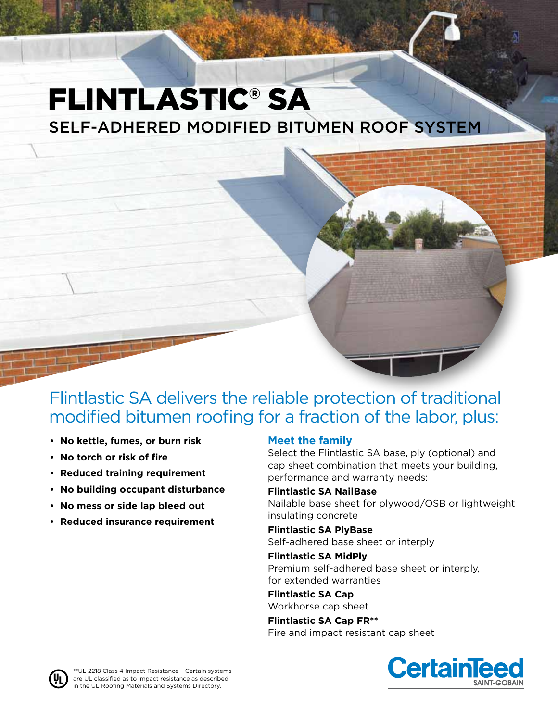# Flintlastic® SA Self-Adhered Modified Bitumen Roof System

### Flintlastic SA delivers the reliable protection of traditional modified bitumen roofing for a fraction of the labor, plus:

- **No kettle, fumes, or burn risk**
- **No torch or risk of fire**
- **Reduced training requirement**
- **No building occupant disturbance**
- **No mess or side lap bleed out**
- **Reduced insurance requirement**

#### **Meet the family**

Select the Flintlastic SA base, ply (optional) and cap sheet combination that meets your building, performance and warranty needs:

#### **Flintlastic SA NailBase**

Nailable base sheet for plywood/OSB or lightweight insulating concrete

### **Flintlastic SA PlyBase**

Self-adhered base sheet or interply

### **Flintlastic SA MidPly**

Premium self-adhered base sheet or interply, for extended warranties

**Flintlastic SA Cap** Workhorse cap sheet

#### **Flintlastic SA Cap FR\*\*** Fire and impact resistant cap sheet